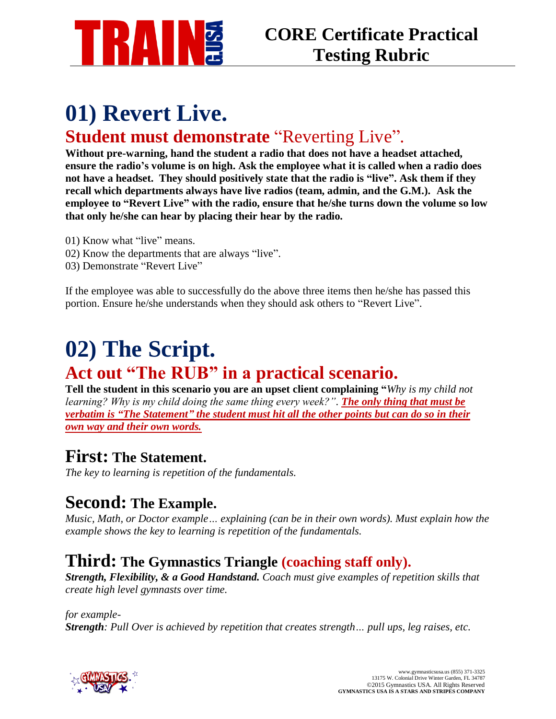

## **01) Revert Live. Student must demonstrate** "Reverting Live".

**Without pre-warning, hand the student a radio that does not have a headset attached, ensure the radio's volume is on high. Ask the employee what it is called when a radio does not have a headset. They should positively state that the radio is "live". Ask them if they recall which departments always have live radios (team, admin, and the G.M.). Ask the employee to "Revert Live" with the radio, ensure that he/she turns down the volume so low that only he/she can hear by placing their hear by the radio.**

- 01) Know what "live" means.
- 02) Know the departments that are always "live".
- 03) Demonstrate "Revert Live"

If the employee was able to successfully do the above three items then he/she has passed this portion. Ensure he/she understands when they should ask others to "Revert Live".

## **02) The Script. Act out "The RUB" in a practical scenario.**

**Tell the student in this scenario you are an upset client complaining "***Why is my child not learning? Why is my child doing the same thing every week?". The only thing that must be verbatim is "The Statement" the student must hit all the other points but can do so in their own way and their own words.*

#### **First: The Statement.**

*The key to learning is repetition of the fundamentals.*

#### **Second: The Example.**

*Music, Math, or Doctor example… explaining (can be in their own words). Must explain how the example shows the key to learning is repetition of the fundamentals.*

#### **Third: The Gymnastics Triangle (coaching staff only).**

*Strength, Flexibility, & a Good Handstand. Coach must give examples of repetition skills that create high level gymnasts over time.* 

#### *for example-*

*Strength: Pull Over is achieved by repetition that creates strength… pull ups, leg raises, etc.*